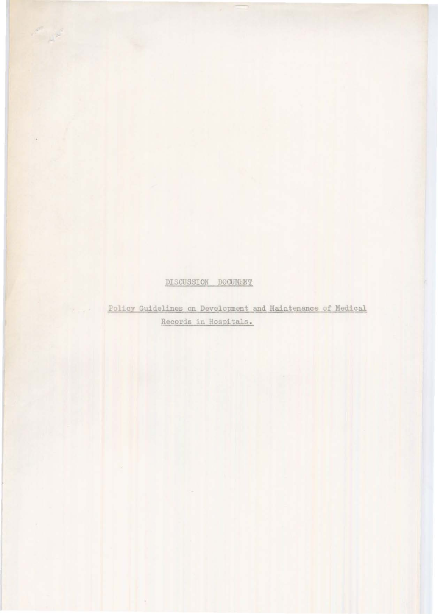#### DISCUSSION DOCUMENT

Jan 19

Policy Guidelines on Development and Maintenance of Medical Records in Hospitals.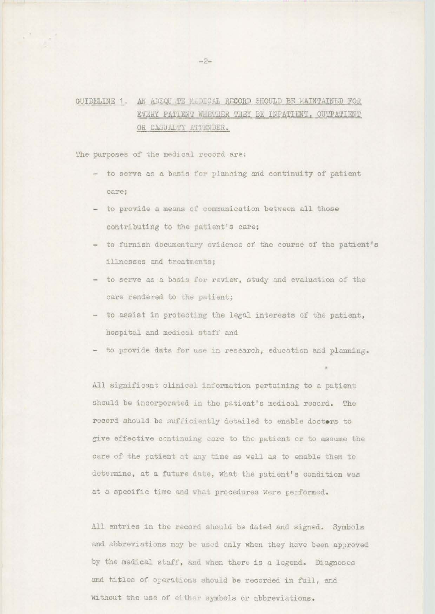### GUIDELINE 1. AN ADEQUATE MADICAL RECORD SHOULD BE MAINTAINED FOR EVERY PATIENT WHETHER THEY BE INPATIENT, OUTPATIENT OR CASUALTY ATTENDER.

The purposes of the medical record are:

- to serve as a basis for planning and continuity of patient care;
- to provide a means of communication between all those contributing to the patient's care;
- to furnish documentary evidence of the course of the patient's illnesses and treatments;
- to serve as a basis for review, study and evaluation of the care rendered to the patient;
- to assist in protecting the legal interests of the patient, hospital and medical staff and
- to provide data for use in research, education and planning.

All significant clinical information pertaining to a patient should be incorporated in the patient's medical record. The record should be sufficiently detailed to enable doctors to give effective continuing care to the patient or to assume the care of the patient at any time as well as to enable them to determine, at a future date, what the patient's condition was at a specific time and what procedures were performed.

All entries in the record should be dated and signed. Symbols and abbreviations may be used only when they have been approved by the medical staff, and when there is a legend. Diagnoses and titles of operations should be recorded in full, and without the use of either symbols or abbreviations.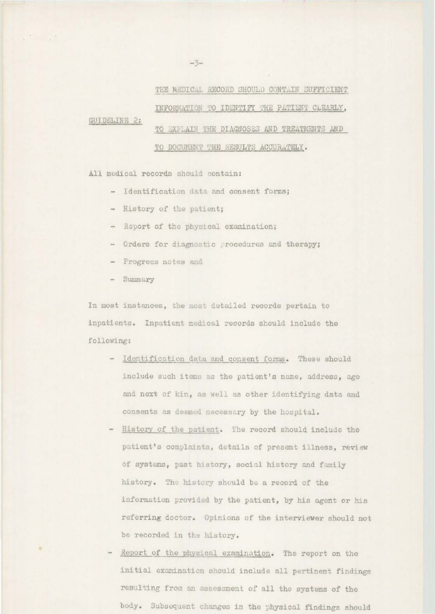THE MEDICAL RECORD SHOULD CONTAIN SUFFICIENT INFORMATION TO IDENTIFY THE PATIENT CLEARLY, **GUIDELINE 2:** TO EXPLAIN THE DIAGNOSES AND TREATMENTS AND TO DOCUMENT THE RESULTS ACCURATELY.

All medical records should contain:

- Identification data and consent forms;
- History of the patient;
- Report of the physical examination;
- Orders for diagnostic procedures and therapy;
- Progress notes and
- Summary

In most instances, the most detailed records pertain to inpatients. Inpatient medical records should include the following:

- Identification data and consent forms. These should include such items as the patient's name, address, age and next of kin, as well as other identifying data and consents as deemed necessary by the hospital.
- History of the patient. The record should include the patient's complaints, details of present illness, review of systems, past history, social history and family history. The history should be a record of the information provided by the patient, by his agent or his referring doctor. Opinions of the interviewer should not be recorded in the history.
- Report of the physical examination. The report on the initial examination should include all pertinent findings resulting from an assessment of all the systems of the body. Subsequent changes in the physical findings should

 $-3-$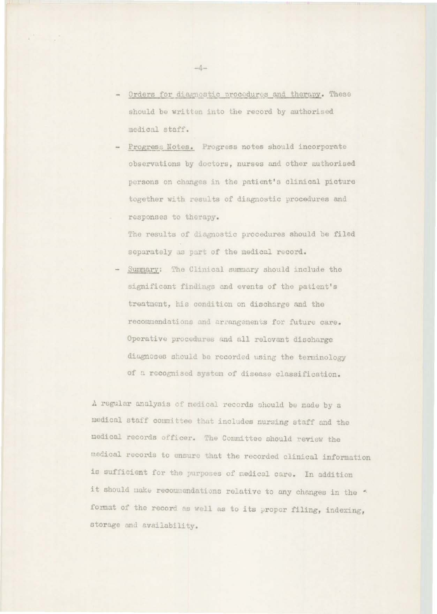- Orders for diagnostic procedures and therapy. These should be written into the record by authorised medical staff.
- Progress Notes. Progress notes should incorporate observations by doctors, nurses and other authorised persons on changes in the patient's clinical picture together with results of diagnostic procedures and responses to therapy.

The results of diagnostic procedures should be filed separately as part of the medical record.

Summary: The Clinical summary should include the significant findings and events of the patient's treatment, his condition on discharge and the recommendations and arrangements for future care. Operative procedures and all relevant discharge diagnoses should be recorded using the terminology of a recognised system of disease classification.

A regular analysis of medical records should be made by a medical staff committee that includes nursing staff and the medical records officer. The Committee should review the medical records to ensure that the recorded clinical information is sufficient for the purposes of nedical care. In addition it should make recommendations relative to any changes in the \* format of the record as well as to its proper filing, indexing, storage and availability.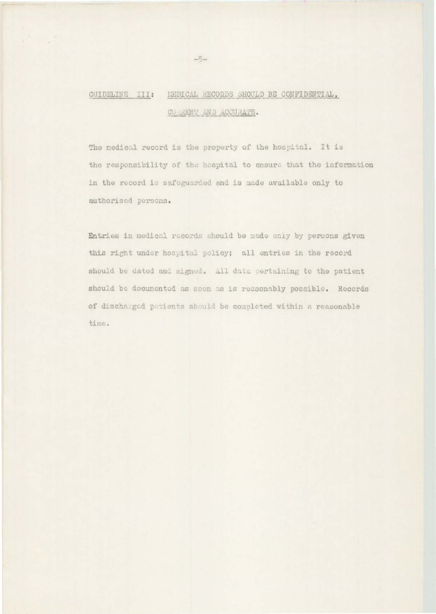## GUIDELINE III: HEDICAL RECORDS SHOULD BE CONFIDENTIAL, CURRENT AND ACCURATE.

The medical record is the property of the hospital. It is the responsibility of the hospital to ensure that the information in the record is safeguarded and is made available only to authorised persons.

Entries in medical records should be made only by persons given this right under hospital policy; all entries in the record should be dated and signed. All data pertaining to the patient should be documented as soon as is reasonably possible. Records of discharged patients should be completed within a reasonable time.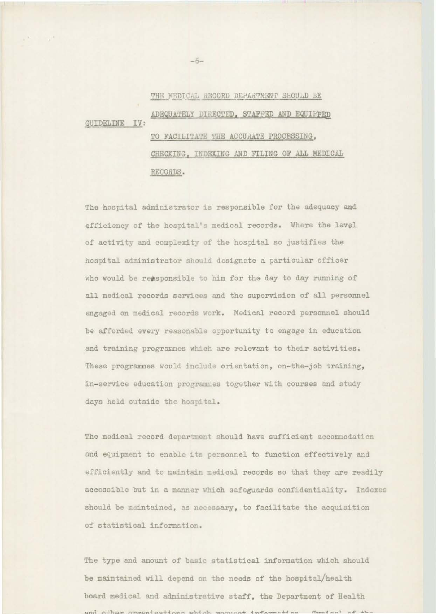## GUIDELINE IV, THE MEDICAL RECORD DEPARTMENT SHOULD BE ADEQUATELY DIRECTED, STAFFED AND EQUIPPED TO FACILITATE THE ACCURATE PROCESSING, CHECKING, INDEXING AND FILING OF ALL MEDICAL RECORDS.

The hospital administrator is responsible for the adequacy and efficiency of the hospital's medical records. Where the level of activity and complexity of the hospital so justifies the hospital administrator should designate a particular officer who would be reasponsible to him for the day to day running of all medical records services und the supervision of all personnel engaged on medical records work. Medical record personnel should be afforded every reasonable opportunity to engage in education and training programmes which are relevant to their activities. These programmes would include orientation, on-the-job training, in-service education programmes together with courses and study days held outside the hospital.

The medical record department should have sufficient accommodation and equipment to enable its personnel to function effectively and efficiently and to maintain medical records so that they are readily accessible but in a manner which safeguards confidentiality. Indexes should be maintained, as necessary, to facilitate the acquisition of statistical information.

The type and amount of basic statistical information which should be maintained will depend on the needs of the hospital/health board medical and administrative staff, the Department of Health and other arguments tions which washingt information themical af the

-6-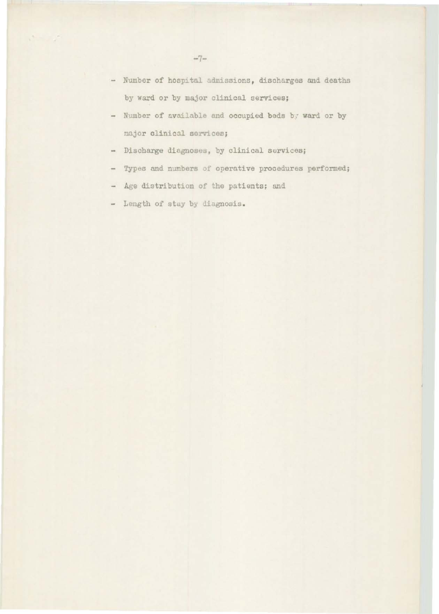- Number of hospital admissions, discharges and deaths by ward or by major clinical services;
- Number of available and occupied beds by ward or by najor clinical services;
- Discharge diagnoses, by clinical services;
- Types and numbers of operative procedures performed;
- Age distribution of the patients; and
- Length of stay by diagnosis.

 $\mathcal{O}(\mathbb{R}^n)$  ,  $\mathcal{O}(\mathbb{R}^n)$